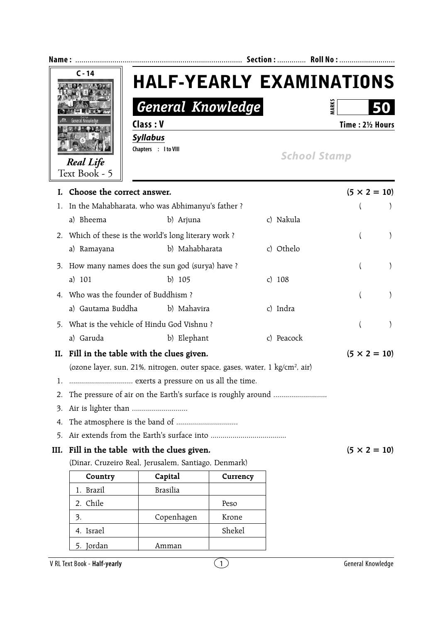

- 4. The atmosphere is the band of ...............................
- 5. Air extends from the Earth's surface into ...................................

## **III.** Fill in the table with the clues given.  $(5 \times 2 = 10)$

(Dinar, Cruzeiro Real, Jerusalem, Santiago, Denmark)

| Country      | Capital         | Currency |
|--------------|-----------------|----------|
| 1. Brazil    | <b>Brasilia</b> |          |
| 2. Chile     |                 | Peso     |
| 3.           | Copenhagen      | Krone    |
| 4. Israel    |                 | Shekel   |
| Jordan<br>5. | Amman           |          |